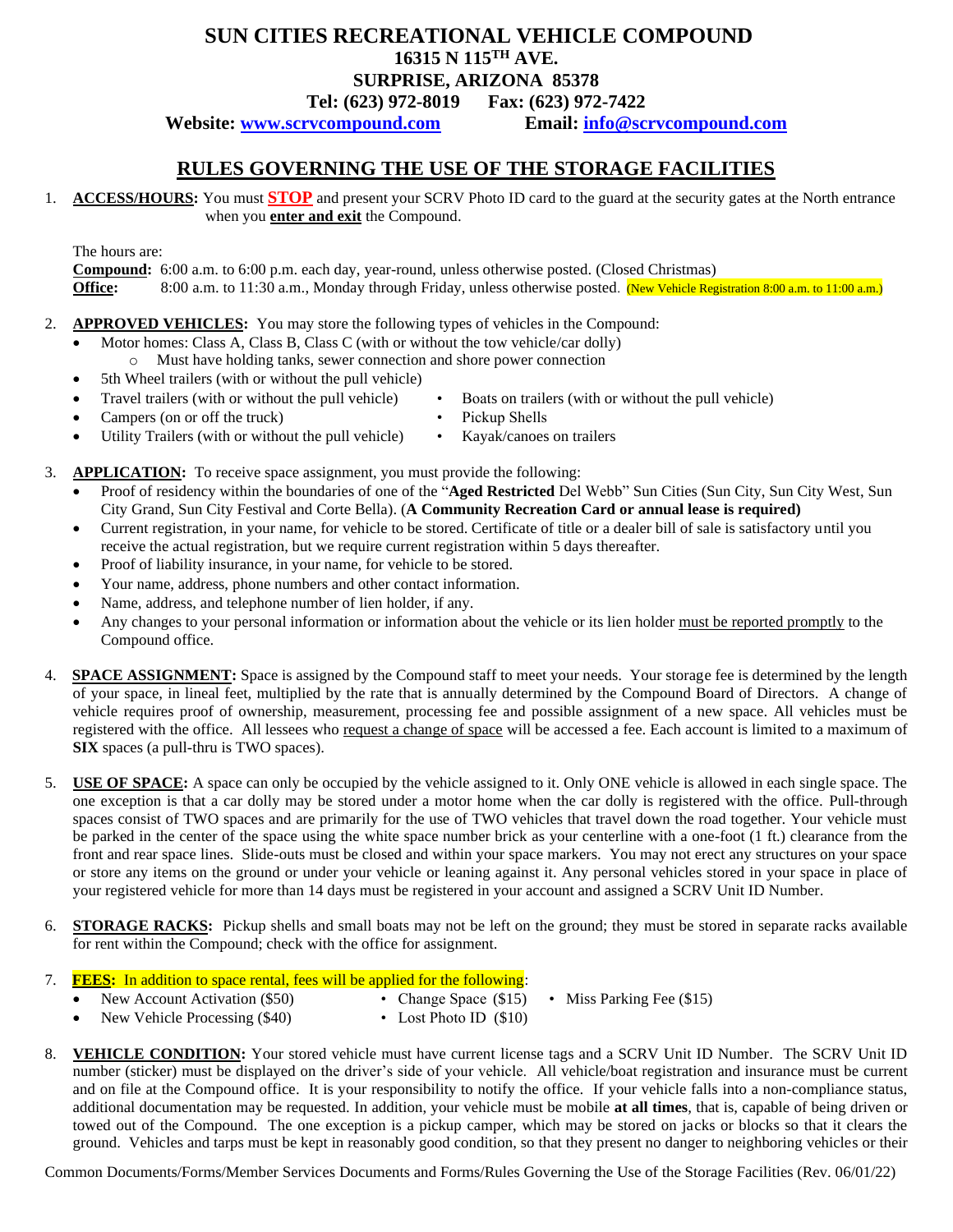## **SUN CITIES RECREATIONAL VEHICLE COMPOUND**

**16315 N 115TH AVE.**

## **SURPRISE, ARIZONA 85378 Tel: (623) 972-8019 Fax: (623) 972-7422**

**Website: [www.scrvcompound.com](http://www.scrvcompound.com/) Email: [info@scrvcompound.com](mailto:info@scrvcompound.com)**

## **RULES GOVERNING THE USE OF THE STORAGE FACILITIES**

1. **ACCESS/HOURS:** You must **STOP** and present your SCRV Photo ID card to the guard at the security gates at the North entrance when you **enter and exit** the Compound.

The hours are:

**Compound:** 6:00 a.m. to 6:00 p.m. each day, year-round, unless otherwise posted. (Closed Christmas) **Office:** 8:00 a.m. to 11:30 a.m., Monday through Friday, unless otherwise posted. (New Vehicle Registration 8:00 a.m. to 11:00 a.m.)

- 2. **APPROVED VEHICLES:** You may store the following types of vehicles in the Compound:
	- Motor homes: Class A, Class B, Class C (with or without the tow vehicle/car dolly)
	- o Must have holding tanks, sewer connection and shore power connection
	- 5th Wheel trailers (with or without the pull vehicle)
	- Travel trailers (with or without the pull vehicle) Boats on trailers (with or without the pull vehicle)
	- Campers (on or off the truck) Pickup Shells
	- Utility Trailers (with or without the pull vehicle) Kayak/canoes on trailers
- 3. **APPLICATION:** To receive space assignment, you must provide the following:
	- Proof of residency within the boundaries of one of the "**Aged Restricted** Del Webb" Sun Cities (Sun City, Sun City West, Sun City Grand, Sun City Festival and Corte Bella). (**A Community Recreation Card or annual lease is required)**
	- Current registration, in your name, for vehicle to be stored. Certificate of title or a dealer bill of sale is satisfactory until you receive the actual registration, but we require current registration within 5 days thereafter.
	- Proof of liability insurance, in your name, for vehicle to be stored.
	- Your name, address, phone numbers and other contact information.
	- Name, address, and telephone number of lien holder, if any.
	- Any changes to your personal information or information about the vehicle or its lien holder must be reported promptly to the Compound office.
- 4. **SPACE ASSIGNMENT:** Space is assigned by the Compound staff to meet your needs. Your storage fee is determined by the length of your space, in lineal feet, multiplied by the rate that is annually determined by the Compound Board of Directors. A change of vehicle requires proof of ownership, measurement, processing fee and possible assignment of a new space. All vehicles must be registered with the office. All lessees who request a change of space will be accessed a fee. Each account is limited to a maximum of **SIX** spaces (a pull-thru is TWO spaces).
- 5. **USE OF SPACE:** A space can only be occupied by the vehicle assigned to it. Only ONE vehicle is allowed in each single space. The one exception is that a car dolly may be stored under a motor home when the car dolly is registered with the office. Pull-through spaces consist of TWO spaces and are primarily for the use of TWO vehicles that travel down the road together. Your vehicle must be parked in the center of the space using the white space number brick as your centerline with a one-foot (1 ft.) clearance from the front and rear space lines. Slide-outs must be closed and within your space markers. You may not erect any structures on your space or store any items on the ground or under your vehicle or leaning against it. Any personal vehicles stored in your space in place of your registered vehicle for more than 14 days must be registered in your account and assigned a SCRV Unit ID Number.
- 6. **STORAGE RACKS:** Pickup shells and small boats may not be left on the ground; they must be stored in separate racks available for rent within the Compound; check with the office for assignment.
- 7. **FEES:** In addition to space rental, fees will be applied for the following:
	- New Account Activation (\$50) Change Space (\$15) Miss Parking Fee (\$15)
- - New Vehicle Processing (\$40) Lost Photo ID (\$10)
- 8. **VEHICLE CONDITION:** Your stored vehicle must have current license tags and a SCRV Unit ID Number. The SCRV Unit ID number (sticker) must be displayed on the driver's side of your vehicle. All vehicle/boat registration and insurance must be current and on file at the Compound office. It is your responsibility to notify the office. If your vehicle falls into a non-compliance status, additional documentation may be requested. In addition, your vehicle must be mobile **at all times**, that is, capable of being driven or towed out of the Compound. The one exception is a pickup camper, which may be stored on jacks or blocks so that it clears the ground. Vehicles and tarps must be kept in reasonably good condition, so that they present no danger to neighboring vehicles or their

Common Documents/Forms/Member Services Documents and Forms/Rules Governing the Use of the Storage Facilities (Rev. 06/01/22)

- 
- 
-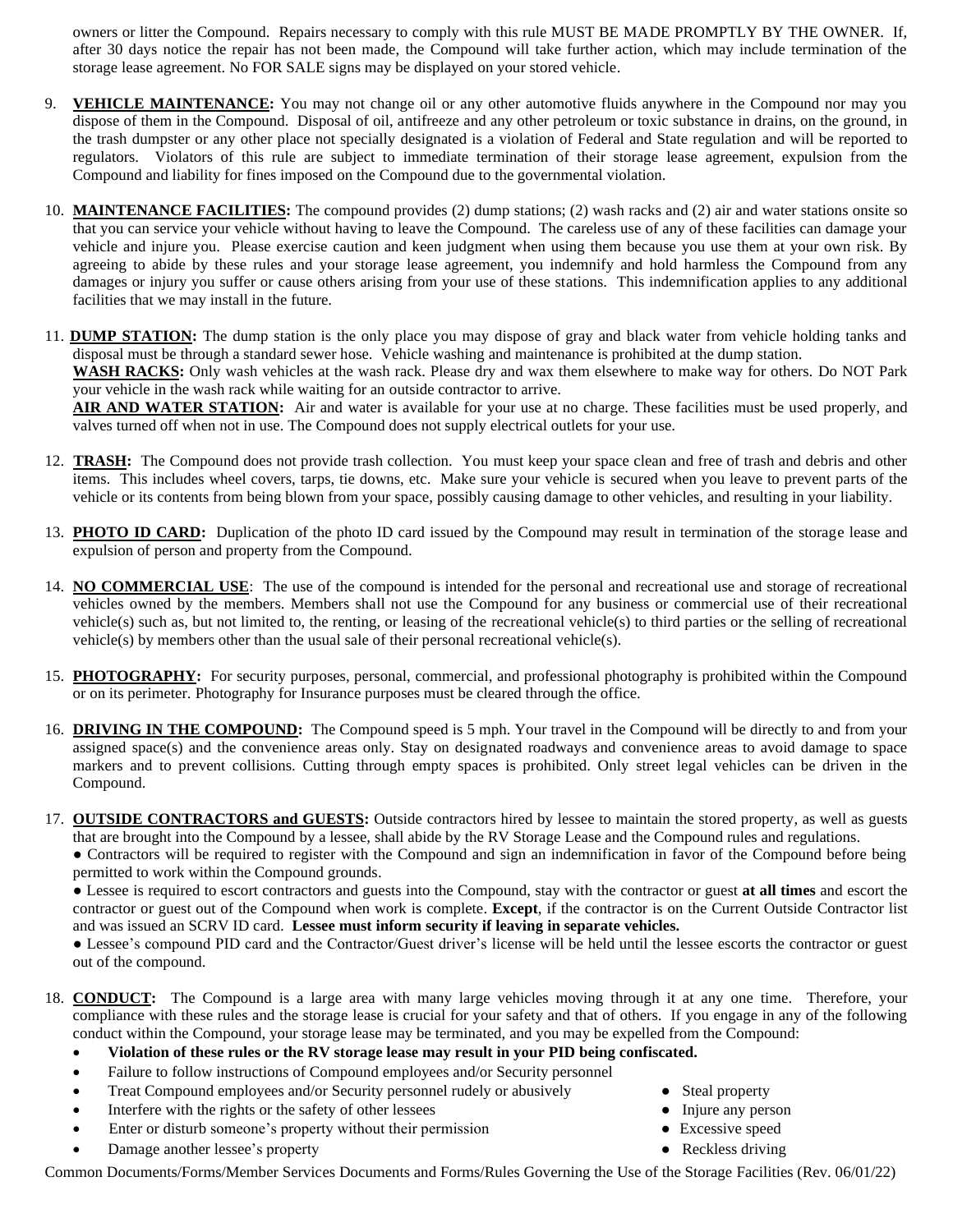owners or litter the Compound. Repairs necessary to comply with this rule MUST BE MADE PROMPTLY BY THE OWNER. If, after 30 days notice the repair has not been made, the Compound will take further action, which may include termination of the storage lease agreement. No FOR SALE signs may be displayed on your stored vehicle.

- 9. **VEHICLE MAINTENANCE:** You may not change oil or any other automotive fluids anywhere in the Compound nor may you dispose of them in the Compound. Disposal of oil, antifreeze and any other petroleum or toxic substance in drains, on the ground, in the trash dumpster or any other place not specially designated is a violation of Federal and State regulation and will be reported to regulators. Violators of this rule are subject to immediate termination of their storage lease agreement, expulsion from the Compound and liability for fines imposed on the Compound due to the governmental violation.
- 10. **MAINTENANCE FACILITIES:** The compound provides (2) dump stations; (2) wash racks and (2) air and water stations onsite so that you can service your vehicle without having to leave the Compound. The careless use of any of these facilities can damage your vehicle and injure you. Please exercise caution and keen judgment when using them because you use them at your own risk. By agreeing to abide by these rules and your storage lease agreement, you indemnify and hold harmless the Compound from any damages or injury you suffer or cause others arising from your use of these stations. This indemnification applies to any additional facilities that we may install in the future.
- 11. **DUMP STATION:** The dump station is the only place you may dispose of gray and black water from vehicle holding tanks and disposal must be through a standard sewer hose. Vehicle washing and maintenance is prohibited at the dump station. **WASH RACKS:** Only wash vehicles at the wash rack. Please dry and wax them elsewhere to make way for others. Do NOT Park your vehicle in the wash rack while waiting for an outside contractor to arrive. AIR AND WATER STATION: Air and water is available for your use at no charge. These facilities must be used properly, and

valves turned off when not in use. The Compound does not supply electrical outlets for your use.

- 12. **TRASH:** The Compound does not provide trash collection. You must keep your space clean and free of trash and debris and other items. This includes wheel covers, tarps, tie downs, etc. Make sure your vehicle is secured when you leave to prevent parts of the vehicle or its contents from being blown from your space, possibly causing damage to other vehicles, and resulting in your liability.
- 13. **PHOTO ID CARD:** Duplication of the photo ID card issued by the Compound may result in termination of the storage lease and expulsion of person and property from the Compound.
- 14. **NO COMMERCIAL USE**: The use of the compound is intended for the personal and recreational use and storage of recreational vehicles owned by the members. Members shall not use the Compound for any business or commercial use of their recreational vehicle(s) such as, but not limited to, the renting, or leasing of the recreational vehicle(s) to third parties or the selling of recreational vehicle(s) by members other than the usual sale of their personal recreational vehicle(s).
- 15. **PHOTOGRAPHY:** For security purposes, personal, commercial, and professional photography is prohibited within the Compound or on its perimeter. Photography for Insurance purposes must be cleared through the office.
- 16. **DRIVING IN THE COMPOUND:** The Compound speed is 5 mph. Your travel in the Compound will be directly to and from your assigned space(s) and the convenience areas only. Stay on designated roadways and convenience areas to avoid damage to space markers and to prevent collisions. Cutting through empty spaces is prohibited. Only street legal vehicles can be driven in the Compound.
- 17. **OUTSIDE CONTRACTORS and GUESTS:** Outside contractors hired by lessee to maintain the stored property, as well as guests that are brought into the Compound by a lessee, shall abide by the RV Storage Lease and the Compound rules and regulations.

● Contractors will be required to register with the Compound and sign an indemnification in favor of the Compound before being permitted to work within the Compound grounds.

● Lessee is required to escort contractors and guests into the Compound, stay with the contractor or guest **at all times** and escort the contractor or guest out of the Compound when work is complete. **Except**, if the contractor is on the Current Outside Contractor list and was issued an SCRV ID card. **Lessee must inform security if leaving in separate vehicles.** 

● Lessee's compound PID card and the Contractor/Guest driver's license will be held until the lessee escorts the contractor or guest out of the compound.

- 18. **CONDUCT:** The Compound is a large area with many large vehicles moving through it at any one time. Therefore, your compliance with these rules and the storage lease is crucial for your safety and that of others. If you engage in any of the following conduct within the Compound, your storage lease may be terminated, and you may be expelled from the Compound:
	- **Violation of these rules or the RV storage lease may result in your PID being confiscated.**
	- Failure to follow instructions of Compound employees and/or Security personnel
	- Treat Compound employees and/or Security personnel rudely or abusively Steal property
	- Interfere with the rights or the safety of other lessees <br> **•** Injure any person
- -
	- Enter or disturb someone's property without their permission Excessive speed
		-
	- **Damage another lessee's property** and the set of the set of the set of the Reckless driving and the Reckless driving

Common Documents/Forms/Member Services Documents and Forms/Rules Governing the Use of the Storage Facilities (Rev. 06/01/22)